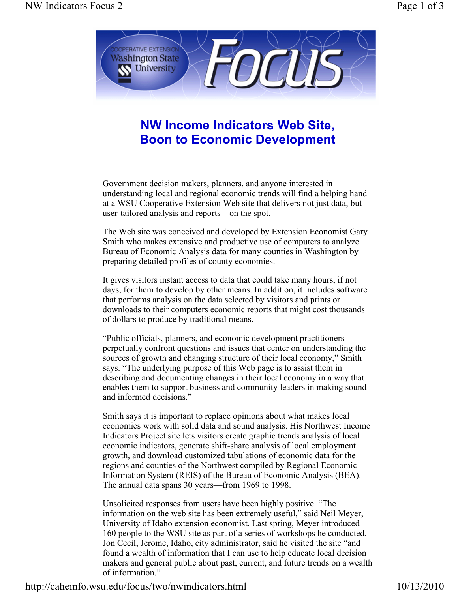

## **NW Income Indicators Web Site, Boon to Economic Development**

Government decision makers, planners, and anyone interested in understanding local and regional economic trends will find a helping hand at a WSU Cooperative Extension Web site that delivers not just data, but user-tailored analysis and reports—on the spot.

The Web site was conceived and developed by Extension Economist Gary Smith who makes extensive and productive use of computers to analyze Bureau of Economic Analysis data for many counties in Washington by preparing detailed profiles of county economies.

It gives visitors instant access to data that could take many hours, if not days, for them to develop by other means. In addition, it includes software that performs analysis on the data selected by visitors and prints or downloads to their computers economic reports that might cost thousands of dollars to produce by traditional means.

"Public officials, planners, and economic development practitioners perpetually confront questions and issues that center on understanding the sources of growth and changing structure of their local economy," Smith says. "The underlying purpose of this Web page is to assist them in describing and documenting changes in their local economy in a way that enables them to support business and community leaders in making sound and informed decisions."

Smith says it is important to replace opinions about what makes local economies work with solid data and sound analysis. His Northwest Income Indicators Project site lets visitors create graphic trends analysis of local economic indicators, generate shift-share analysis of local employment growth, and download customized tabulations of economic data for the regions and counties of the Northwest compiled by Regional Economic Information System (REIS) of the Bureau of Economic Analysis (BEA). The annual data spans 30 years—from 1969 to 1998.

Unsolicited responses from users have been highly positive. "The information on the web site has been extremely useful," said Neil Meyer, University of Idaho extension economist. Last spring, Meyer introduced 160 people to the WSU site as part of a series of workshops he conducted. Jon Cecil, Jerome, Idaho, city administrator, said he visited the site "and found a wealth of information that I can use to help educate local decision makers and general public about past, current, and future trends on a wealth of information."

http://caheinfo.wsu.edu/focus/two/nwindicators.html 10/13/2010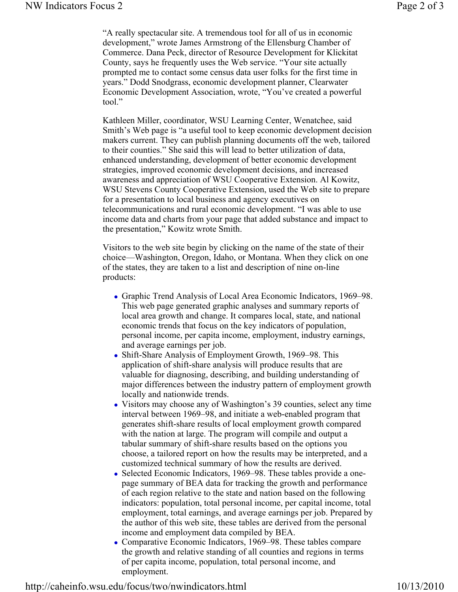"A really spectacular site. A tremendous tool for all of us in economic development," wrote James Armstrong of the Ellensburg Chamber of Commerce. Dana Peck, director of Resource Development for Klickitat County, says he frequently uses the Web service. "Your site actually prompted me to contact some census data user folks for the first time in years." Dodd Snodgrass, economic development planner, Clearwater Economic Development Association, wrote, "You've created a powerful tool."

Kathleen Miller, coordinator, WSU Learning Center, Wenatchee, said Smith's Web page is "a useful tool to keep economic development decision makers current. They can publish planning documents off the web, tailored to their counties." She said this will lead to better utilization of data, enhanced understanding, development of better economic development strategies, improved economic development decisions, and increased awareness and appreciation of WSU Cooperative Extension. Al Kowitz, WSU Stevens County Cooperative Extension, used the Web site to prepare for a presentation to local business and agency executives on telecommunications and rural economic development. "I was able to use income data and charts from your page that added substance and impact to the presentation," Kowitz wrote Smith.

Visitors to the web site begin by clicking on the name of the state of their choice—Washington, Oregon, Idaho, or Montana. When they click on one of the states, they are taken to a list and description of nine on-line products:

- Graphic Trend Analysis of Local Area Economic Indicators, 1969–98. This web page generated graphic analyses and summary reports of local area growth and change. It compares local, state, and national economic trends that focus on the key indicators of population, personal income, per capita income, employment, industry earnings, and average earnings per job.
- Shift-Share Analysis of Employment Growth, 1969–98. This application of shift-share analysis will produce results that are valuable for diagnosing, describing, and building understanding of major differences between the industry pattern of employment growth locally and nationwide trends.
- Visitors may choose any of Washington's 39 counties, select any time interval between 1969–98, and initiate a web-enabled program that generates shift-share results of local employment growth compared with the nation at large. The program will compile and output a tabular summary of shift-share results based on the options you choose, a tailored report on how the results may be interpreted, and a customized technical summary of how the results are derived.
- Selected Economic Indicators, 1969–98. These tables provide a onepage summary of BEA data for tracking the growth and performance of each region relative to the state and nation based on the following indicators: population, total personal income, per capital income, total employment, total earnings, and average earnings per job. Prepared by the author of this web site, these tables are derived from the personal income and employment data compiled by BEA.
- Comparative Economic Indicators, 1969–98. These tables compare the growth and relative standing of all counties and regions in terms of per capita income, population, total personal income, and employment.

http://caheinfo.wsu.edu/focus/two/nwindicators.html 10/13/2010